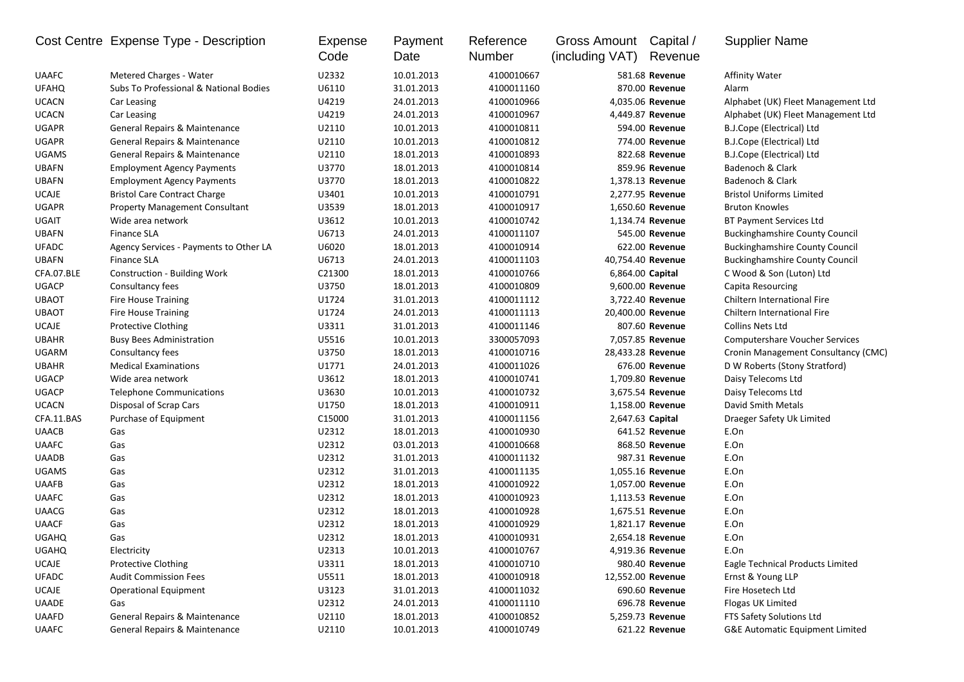|              | Cost Centre Expense Type - Description   | Expense<br>Code | Payment<br>Date | Reference<br>Number | Gross Amount<br>(including VAT) | Capital /<br>Revenue | <b>Supplier Name</b>                  |
|--------------|------------------------------------------|-----------------|-----------------|---------------------|---------------------------------|----------------------|---------------------------------------|
| <b>UAAFC</b> | Metered Charges - Water                  | U2332           | 10.01.2013      | 4100010667          |                                 | 581.68 Revenue       | Affinity Water                        |
| <b>UFAHQ</b> | Subs To Professional & National Bodies   | U6110           | 31.01.2013      | 4100011160          |                                 | 870.00 Revenue       | Alarm                                 |
| <b>UCACN</b> | Car Leasing                              | U4219           | 24.01.2013      | 4100010966          |                                 | 4,035.06 Revenue     | Alphabet (UK) Fleet Management Ltd    |
| <b>UCACN</b> | Car Leasing                              | U4219           | 24.01.2013      | 4100010967          |                                 | 4,449.87 Revenue     | Alphabet (UK) Fleet Management Ltd    |
| <b>UGAPR</b> | General Repairs & Maintenance            | U2110           | 10.01.2013      | 4100010811          |                                 | 594.00 Revenue       | B.J.Cope (Electrical) Ltd             |
| <b>UGAPR</b> | General Repairs & Maintenance            | U2110           | 10.01.2013      | 4100010812          |                                 | 774.00 Revenue       | B.J.Cope (Electrical) Ltd             |
| <b>UGAMS</b> | <b>General Repairs &amp; Maintenance</b> | U2110           | 18.01.2013      | 4100010893          |                                 | 822.68 Revenue       | B.J.Cope (Electrical) Ltd             |
| <b>UBAFN</b> | <b>Employment Agency Payments</b>        | U3770           | 18.01.2013      | 4100010814          |                                 | 859.96 Revenue       | Badenoch & Clark                      |
| <b>UBAFN</b> | <b>Employment Agency Payments</b>        | U3770           | 18.01.2013      | 4100010822          |                                 | 1,378.13 Revenue     | Badenoch & Clark                      |
| <b>UCAJE</b> | <b>Bristol Care Contract Charge</b>      | U3401           | 10.01.2013      | 4100010791          |                                 | 2,277.95 Revenue     | <b>Bristol Uniforms Limited</b>       |
| <b>UGAPR</b> | <b>Property Management Consultant</b>    | U3539           | 18.01.2013      | 4100010917          |                                 | 1,650.60 Revenue     | <b>Bruton Knowles</b>                 |
| UGAIT        | Wide area network                        | U3612           | 10.01.2013      | 4100010742          |                                 | 1,134.74 Revenue     | BT Payment Services Ltd               |
| <b>UBAFN</b> | <b>Finance SLA</b>                       | U6713           | 24.01.2013      | 4100011107          |                                 | 545.00 Revenue       | <b>Buckinghamshire County Council</b> |
| <b>UFADC</b> | Agency Services - Payments to Other LA   | U6020           | 18.01.2013      | 4100010914          |                                 | 622.00 Revenue       | <b>Buckinghamshire County Council</b> |
| <b>UBAFN</b> | <b>Finance SLA</b>                       | U6713           | 24.01.2013      | 4100011103          | 40,754.40 Revenue               |                      | <b>Buckinghamshire County Council</b> |
| CFA.07.BLE   | Construction - Building Work             | C21300          | 18.01.2013      | 4100010766          | 6,864.00 Capital                |                      | C Wood & Son (Luton) Ltd              |
| <b>UGACP</b> | Consultancy fees                         | U3750           | 18.01.2013      | 4100010809          |                                 | 9,600.00 Revenue     | Capita Resourcing                     |
| <b>UBAOT</b> | <b>Fire House Training</b>               | U1724           | 31.01.2013      | 4100011112          |                                 | 3,722.40 Revenue     | Chiltern International Fire           |
| <b>UBAOT</b> | <b>Fire House Training</b>               | U1724           | 24.01.2013      | 4100011113          | 20,400.00 Revenue               |                      | Chiltern International Fire           |
| <b>UCAJE</b> | <b>Protective Clothing</b>               | U3311           | 31.01.2013      | 4100011146          |                                 | 807.60 Revenue       | Collins Nets Ltd                      |
| <b>UBAHR</b> | <b>Busy Bees Administration</b>          | U5516           | 10.01.2013      | 3300057093          |                                 | 7,057.85 Revenue     | <b>Computershare Voucher Services</b> |
| UGARM        | Consultancy fees                         | U3750           | 18.01.2013      | 4100010716          | 28,433.28 Revenue               |                      | Cronin Management Consultancy (CMC)   |
| <b>UBAHR</b> | <b>Medical Examinations</b>              | U1771           | 24.01.2013      | 4100011026          |                                 | 676.00 Revenue       | D W Roberts (Stony Stratford)         |
| <b>UGACP</b> | Wide area network                        | U3612           | 18.01.2013      | 4100010741          |                                 | 1,709.80 Revenue     | Daisy Telecoms Ltd                    |
| <b>UGACP</b> | <b>Telephone Communications</b>          | U3630           | 10.01.2013      | 4100010732          |                                 | 3,675.54 Revenue     | Daisy Telecoms Ltd                    |
| <b>UCACN</b> | Disposal of Scrap Cars                   | U1750           | 18.01.2013      | 4100010911          |                                 | 1,158.00 Revenue     | David Smith Metals                    |
| CFA.11.BAS   | Purchase of Equipment                    | C15000          | 31.01.2013      | 4100011156          | 2,647.63 Capital                |                      | Draeger Safety Uk Limited             |
| <b>UAACB</b> | Gas                                      | U2312           | 18.01.2013      | 4100010930          |                                 | 641.52 Revenue       | E.On                                  |
| <b>UAAFC</b> | Gas                                      | U2312           | 03.01.2013      | 4100010668          |                                 | 868.50 Revenue       | E.On                                  |
| <b>UAADB</b> | Gas                                      | U2312           | 31.01.2013      | 4100011132          |                                 | 987.31 Revenue       | E.On                                  |
| <b>UGAMS</b> | Gas                                      | U2312           | 31.01.2013      | 4100011135          |                                 | 1,055.16 Revenue     | E.On                                  |
| <b>UAAFB</b> | Gas                                      | U2312           | 18.01.2013      | 4100010922          |                                 | 1,057.00 Revenue     | E.On                                  |
| <b>UAAFC</b> | Gas                                      | U2312           | 18.01.2013      | 4100010923          |                                 | 1,113.53 Revenue     | E.On                                  |
| <b>UAACG</b> | Gas                                      | U2312           | 18.01.2013      | 4100010928          |                                 | 1,675.51 Revenue     | E.On                                  |
| <b>UAACF</b> | Gas                                      | U2312           | 18.01.2013      | 4100010929          |                                 | 1,821.17 Revenue     | E.On                                  |
| <b>UGAHQ</b> | Gas                                      | U2312           | 18.01.2013      | 4100010931          |                                 | 2,654.18 Revenue     | E.On                                  |
| <b>UGAHQ</b> | Electricity                              | U2313           | 10.01.2013      | 4100010767          |                                 | 4,919.36 Revenue     | E.On                                  |
| <b>UCAJE</b> | <b>Protective Clothing</b>               | U3311           | 18.01.2013      | 4100010710          |                                 | 980.40 Revenue       | Eagle Technical Products Limited      |
| <b>UFADC</b> | <b>Audit Commission Fees</b>             | U5511           | 18.01.2013      | 4100010918          | 12,552.00 Revenue               |                      | Ernst & Young LLP                     |
| UCAJE        | <b>Operational Equipment</b>             | U3123           | 31.01.2013      | 4100011032          |                                 | 690.60 Revenue       | Fire Hosetech Ltd                     |
| <b>UAADE</b> | Gas                                      | U2312           | 24.01.2013      | 4100011110          |                                 | 696.78 Revenue       | Flogas UK Limited                     |
| <b>UAAFD</b> | General Repairs & Maintenance            | U2110           | 18.01.2013      | 4100010852          |                                 | 5,259.73 Revenue     | FTS Safety Solutions Ltd              |
| <b>UAAFC</b> | General Repairs & Maintenance            | U2110           | 10.01.2013      | 4100010749          |                                 | 621.22 Revenue       | G&E Automatic Equipment Limited       |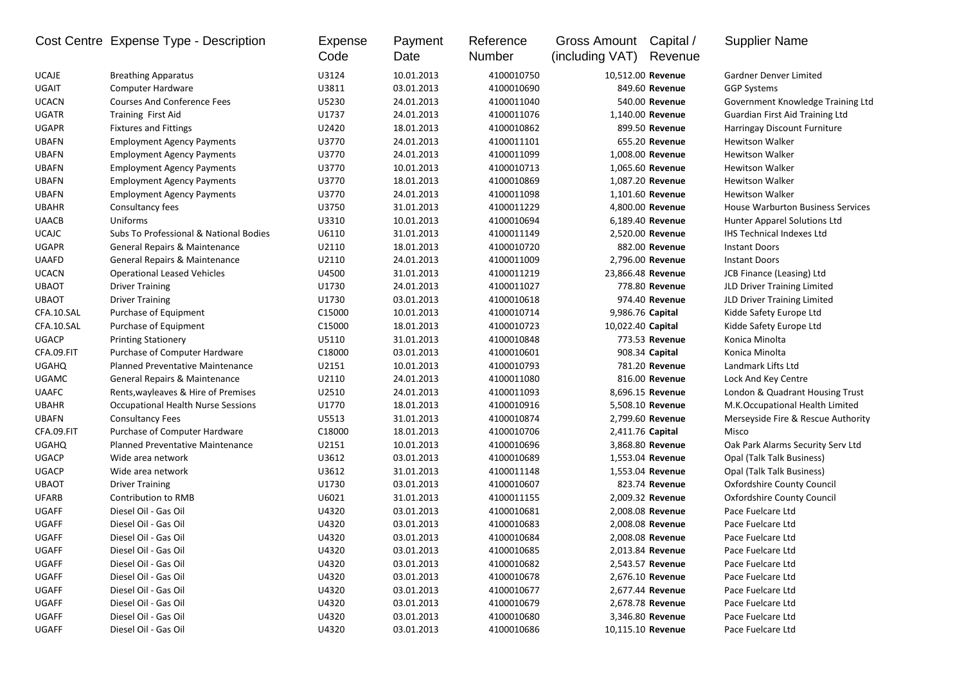|              | Cost Centre Expense Type - Description    | Expense | Payment    | Reference  | Gross Amount      | Capital /         | <b>Supplier Name</b>                     |
|--------------|-------------------------------------------|---------|------------|------------|-------------------|-------------------|------------------------------------------|
|              |                                           | Code    | Date       | Number     | (including VAT)   | Revenue           |                                          |
| UCAJE        | <b>Breathing Apparatus</b>                | U3124   | 10.01.2013 | 4100010750 | 10,512.00 Revenue |                   | Gardner Denver Limited                   |
| <b>UGAIT</b> | <b>Computer Hardware</b>                  | U3811   | 03.01.2013 | 4100010690 |                   | 849.60 Revenue    | <b>GGP Systems</b>                       |
| <b>UCACN</b> | <b>Courses And Conference Fees</b>        | U5230   | 24.01.2013 | 4100011040 |                   | 540.00 Revenue    | Government Knowledge Training Ltd        |
| UGATR        | Training First Aid                        | U1737   | 24.01.2013 | 4100011076 |                   | 1,140.00 Revenue  | Guardian First Aid Training Ltd          |
| <b>UGAPR</b> | <b>Fixtures and Fittings</b>              | U2420   | 18.01.2013 | 4100010862 |                   | 899.50 Revenue    | Harringay Discount Furniture             |
| <b>UBAFN</b> | <b>Employment Agency Payments</b>         | U3770   | 24.01.2013 | 4100011101 |                   | 655.20 Revenue    | <b>Hewitson Walker</b>                   |
| <b>UBAFN</b> | <b>Employment Agency Payments</b>         | U3770   | 24.01.2013 | 4100011099 |                   | 1,008.00 Revenue  | <b>Hewitson Walker</b>                   |
| <b>UBAFN</b> | <b>Employment Agency Payments</b>         | U3770   | 10.01.2013 | 4100010713 |                   | 1,065.60 Revenue  | <b>Hewitson Walker</b>                   |
| <b>UBAFN</b> | <b>Employment Agency Payments</b>         | U3770   | 18.01.2013 | 4100010869 |                   | 1,087.20 Revenue  | <b>Hewitson Walker</b>                   |
| <b>UBAFN</b> | <b>Employment Agency Payments</b>         | U3770   | 24.01.2013 | 4100011098 |                   | 1,101.60 Revenue  | <b>Hewitson Walker</b>                   |
| <b>UBAHR</b> | Consultancy fees                          | U3750   | 31.01.2013 | 4100011229 |                   | 4,800.00 Revenue  | <b>House Warburton Business Services</b> |
| <b>UAACB</b> | Uniforms                                  | U3310   | 10.01.2013 | 4100010694 |                   | 6,189.40 Revenue  | Hunter Apparel Solutions Ltd             |
| <b>UCAJC</b> | Subs To Professional & National Bodies    | U6110   | 31.01.2013 | 4100011149 |                   | 2,520.00 Revenue  | <b>IHS Technical Indexes Ltd</b>         |
| <b>UGAPR</b> | General Repairs & Maintenance             | U2110   | 18.01.2013 | 4100010720 |                   | 882.00 Revenue    | <b>Instant Doors</b>                     |
| <b>UAAFD</b> | General Repairs & Maintenance             | U2110   | 24.01.2013 | 4100011009 |                   | 2,796.00 Revenue  | <b>Instant Doors</b>                     |
| <b>UCACN</b> | <b>Operational Leased Vehicles</b>        | U4500   | 31.01.2013 | 4100011219 |                   | 23,866.48 Revenue | JCB Finance (Leasing) Ltd                |
| <b>UBAOT</b> | <b>Driver Training</b>                    | U1730   | 24.01.2013 | 4100011027 |                   | 778.80 Revenue    | JLD Driver Training Limited              |
| <b>UBAOT</b> | <b>Driver Training</b>                    | U1730   | 03.01.2013 | 4100010618 |                   | 974.40 Revenue    | JLD Driver Training Limited              |
| CFA.10.SAL   | Purchase of Equipment                     | C15000  | 10.01.2013 | 4100010714 | 9,986.76 Capital  |                   | Kidde Safety Europe Ltd                  |
| CFA.10.SAL   | Purchase of Equipment                     | C15000  | 18.01.2013 | 4100010723 | 10,022.40 Capital |                   | Kidde Safety Europe Ltd                  |
| <b>UGACP</b> | <b>Printing Stationery</b>                | U5110   | 31.01.2013 | 4100010848 |                   | 773.53 Revenue    | Konica Minolta                           |
| CFA.09.FIT   | Purchase of Computer Hardware             | C18000  | 03.01.2013 | 4100010601 |                   | 908.34 Capital    | Konica Minolta                           |
| <b>UGAHQ</b> | <b>Planned Preventative Maintenance</b>   | U2151   | 10.01.2013 | 4100010793 |                   | 781.20 Revenue    | Landmark Lifts Ltd                       |
| <b>UGAMC</b> | General Repairs & Maintenance             | U2110   | 24.01.2013 | 4100011080 |                   | 816.00 Revenue    | Lock And Key Centre                      |
| <b>UAAFC</b> | Rents, wayleaves & Hire of Premises       | U2510   | 24.01.2013 | 4100011093 |                   | 8,696.15 Revenue  | London & Quadrant Housing Trust          |
| <b>UBAHR</b> | <b>Occupational Health Nurse Sessions</b> | U1770   | 18.01.2013 | 4100010916 |                   | 5,508.10 Revenue  | M.K.Occupational Health Limited          |
| <b>UBAFN</b> | <b>Consultancy Fees</b>                   | U5513   | 31.01.2013 | 4100010874 |                   | 2,799.60 Revenue  | Merseyside Fire & Rescue Authority       |
| CFA.09.FIT   | Purchase of Computer Hardware             | C18000  | 18.01.2013 | 4100010706 | 2,411.76 Capital  |                   | Misco                                    |
| <b>UGAHQ</b> | <b>Planned Preventative Maintenance</b>   | U2151   | 10.01.2013 | 4100010696 |                   | 3,868.80 Revenue  | Oak Park Alarms Security Serv Ltd        |
| <b>UGACP</b> | Wide area network                         | U3612   | 03.01.2013 | 4100010689 |                   | 1,553.04 Revenue  | Opal (Talk Talk Business)                |
| <b>UGACP</b> | Wide area network                         | U3612   | 31.01.2013 | 4100011148 |                   | 1,553.04 Revenue  | Opal (Talk Talk Business)                |
| <b>UBAOT</b> | <b>Driver Training</b>                    | U1730   | 03.01.2013 | 4100010607 |                   | 823.74 Revenue    | <b>Oxfordshire County Council</b>        |
| <b>UFARB</b> | Contribution to RMB                       | U6021   | 31.01.2013 | 4100011155 |                   | 2,009.32 Revenue  | <b>Oxfordshire County Council</b>        |
| <b>UGAFF</b> | Diesel Oil - Gas Oil                      | U4320   | 03.01.2013 | 4100010681 |                   | 2,008.08 Revenue  | Pace Fuelcare Ltd                        |
| UGAFF        | Diesel Oil - Gas Oil                      | U4320   | 03.01.2013 | 4100010683 |                   | 2,008.08 Revenue  | Pace Fuelcare Ltd                        |
| <b>UGAFF</b> | Diesel Oil - Gas Oil                      | U4320   | 03.01.2013 | 4100010684 |                   | 2,008.08 Revenue  | Pace Fuelcare Ltd                        |
| UGAFF        | Diesel Oil - Gas Oil                      | U4320   | 03.01.2013 | 4100010685 |                   | 2,013.84 Revenue  | Pace Fuelcare Ltd                        |
| UGAFF        | Diesel Oil - Gas Oil                      | U4320   | 03.01.2013 | 4100010682 |                   | 2,543.57 Revenue  | Pace Fuelcare Ltd                        |
| UGAFF        | Diesel Oil - Gas Oil                      | U4320   | 03.01.2013 | 4100010678 |                   | 2,676.10 Revenue  | Pace Fuelcare Ltd                        |
| UGAFF        | Diesel Oil - Gas Oil                      | U4320   | 03.01.2013 | 4100010677 |                   | 2,677.44 Revenue  | Pace Fuelcare Ltd                        |
| UGAFF        | Diesel Oil - Gas Oil                      | U4320   | 03.01.2013 | 4100010679 |                   | 2,678.78 Revenue  | Pace Fuelcare Ltd                        |
| UGAFF        | Diesel Oil - Gas Oil                      | U4320   | 03.01.2013 | 4100010680 |                   | 3,346.80 Revenue  | Pace Fuelcare Ltd                        |
| UGAFF        | Diesel Oil - Gas Oil                      | U4320   | 03.01.2013 | 4100010686 | 10,115.10 Revenue |                   | Pace Fuelcare Ltd                        |